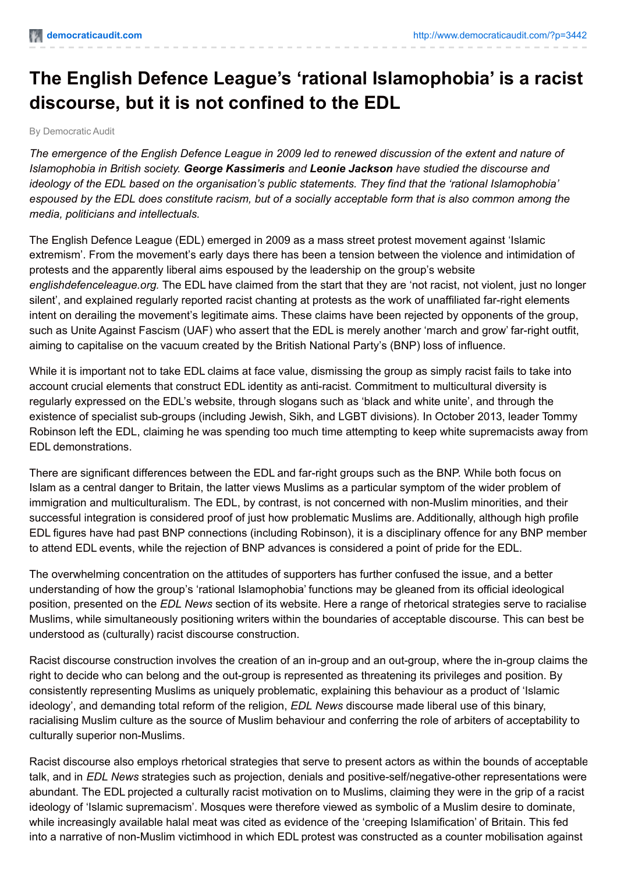## **The English Defence League's 'rational Islamophobia' is a racist discourse, but it is not confined to the EDL**

By Democratic Audit

The emergence of the English Defence League in 2009 led to renewed discussion of the extent and nature of *Islamophobia in British society. George Kassimeris and Leonie Jackson have studied the discourse and ideology of the EDL based on the organisation's public statements. They find that the 'rational Islamophobia'* espoused by the EDL does constitute racism, but of a socially acceptable form that is also common among the *media, politicians and intellectuals.*

The English Defence League (EDL) emerged in 2009 as a mass street protest movement against 'Islamic extremism'. From the movement's early days there has been a tension between the violence and intimidation of protests and the apparently liberal aims espoused by the leadership on the group's website *englishdefenceleague.org.* The EDL have claimed from the start that they are 'not racist, not violent, just no longer silent', and explained regularly reported racist chanting at protests as the work of unaffiliated far-right elements intent on derailing the movement's legitimate aims. These claims have been rejected by opponents of the group, such as Unite Against Fascism (UAF) who assert that the EDL is merely another 'march and grow' far-right outfit, aiming to capitalise on the vacuum created by the British National Party's (BNP) loss of influence.

While it is important not to take EDL claims at face value, dismissing the group as simply racist fails to take into account crucial elements that construct EDL identity as anti-racist. Commitment to multicultural diversity is regularly expressed on the EDL's website, through slogans such as 'black and white unite', and through the existence of specialist sub-groups (including Jewish, Sikh, and LGBT divisions). In October 2013, leader Tommy Robinson left the EDL, claiming he was spending too much time attempting to keep white supremacists away from EDL demonstrations.

There are significant differences between the EDL and far-right groups such as the BNP. While both focus on Islam as a central danger to Britain, the latter views Muslims as a particular symptom of the wider problem of immigration and multiculturalism. The EDL, by contrast, is not concerned with non-Muslim minorities, and their successful integration is considered proof of just how problematic Muslims are. Additionally, although high profile EDL figures have had past BNP connections (including Robinson), it is a disciplinary offence for any BNP member to attend EDL events, while the rejection of BNP advances is considered a point of pride for the EDL.

The overwhelming concentration on the attitudes of supporters has further confused the issue, and a better understanding of how the group's 'rational Islamophobia' functions may be gleaned from its official ideological position, presented on the *EDL News* section of its website. Here a range of rhetorical strategies serve to racialise Muslims, while simultaneously positioning writers within the boundaries of acceptable discourse. This can best be understood as (culturally) racist discourse construction.

Racist discourse construction involves the creation of an in-group and an out-group, where the in-group claims the right to decide who can belong and the out-group is represented as threatening its privileges and position. By consistently representing Muslims as uniquely problematic, explaining this behaviour as a product of 'Islamic ideology', and demanding total reform of the religion, *EDL News* discourse made liberal use of this binary, racialising Muslim culture as the source of Muslim behaviour and conferring the role of arbiters of acceptability to culturally superior non-Muslims.

Racist discourse also employs rhetorical strategies that serve to present actors as within the bounds of acceptable talk, and in *EDL News* strategies such as projection, denials and positive-self/negative-other representations were abundant. The EDL projected a culturally racist motivation on to Muslims, claiming they were in the grip of a racist ideology of 'Islamic supremacism'. Mosques were therefore viewed as symbolic of a Muslim desire to dominate, while increasingly available halal meat was cited as evidence of the 'creeping Islamification' of Britain. This fed into a narrative of non-Muslim victimhood in which EDL protest was constructed as a counter mobilisation against